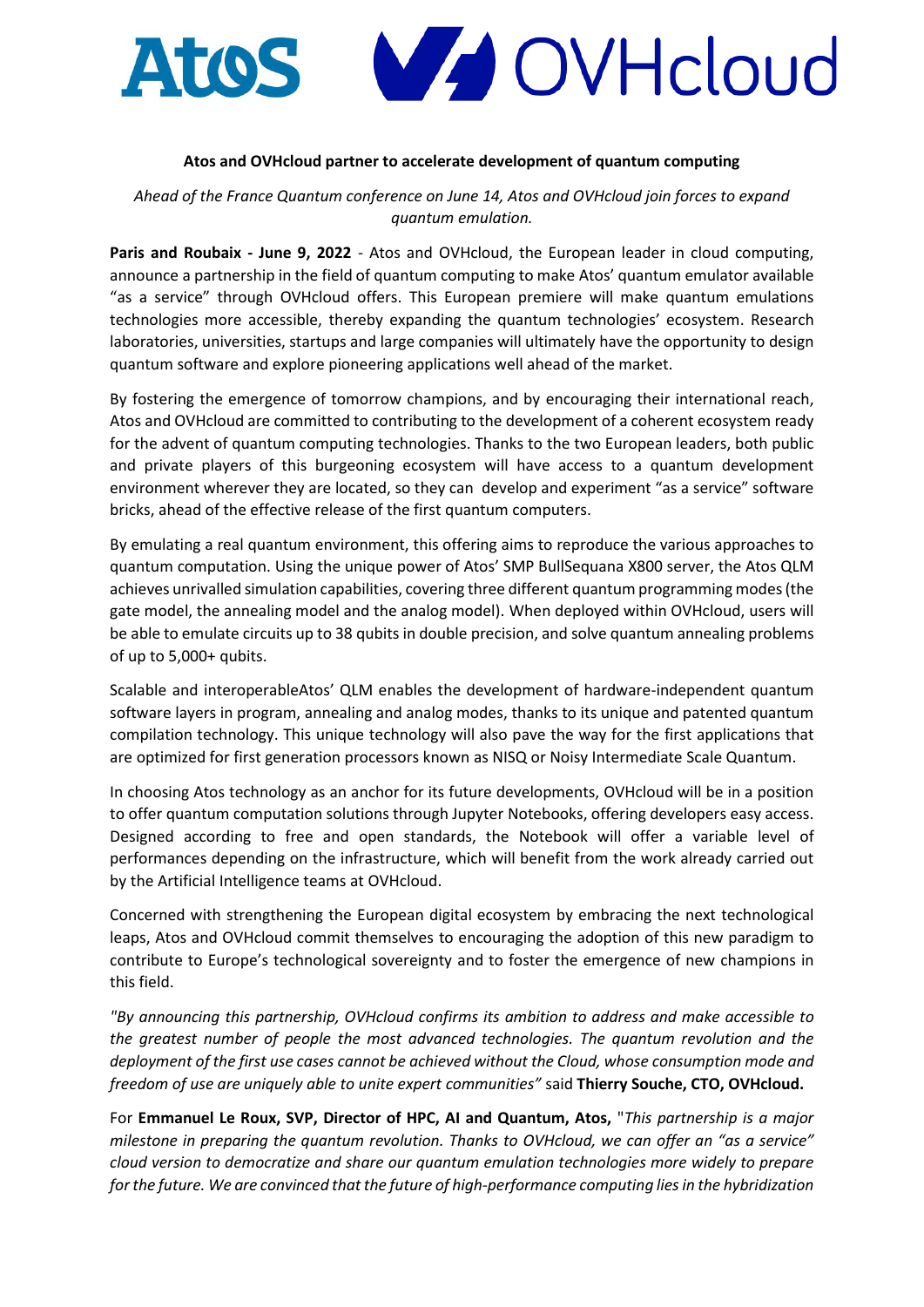

### **Atos and OVHcloud partner to accelerate development of quantum computing**

*Ahead of the France Quantum conference on June 14, Atos and OVHcloud join forces to expand quantum emulation.*

**Paris and Roubaix - June 9, 2022** - Atos and OVHcloud, the European leader in cloud computing, announce a partnership in the field of quantum computing to make Atos' quantum emulator available "as a service" through OVHcloud offers. This European premiere will make quantum emulations technologies more accessible, thereby expanding the quantum technologies' ecosystem. Research laboratories, universities, startups and large companies will ultimately have the opportunity to design quantum software and explore pioneering applications well ahead of the market.

By fostering the emergence of tomorrow champions, and by encouraging their international reach, Atos and OVHcloud are committed to contributing to the development of a coherent ecosystem ready for the advent of quantum computing technologies. Thanks to the two European leaders, both public and private players of this burgeoning ecosystem will have access to a quantum development environment wherever they are located, so they can develop and experiment "as a service" software bricks, ahead of the effective release of the first quantum computers.

By emulating a real quantum environment, this offering aims to reproduce the various approaches to quantum computation. Using the unique power of Atos' SMP BullSequana X800 server, the Atos QLM achieves unrivalled simulation capabilities, covering three different quantum programming modes (the gate model, the annealing model and the analog model). When deployed within OVHcloud, users will be able to emulate circuits up to 38 qubits in double precision, and solve quantum annealing problems of up to 5,000+ qubits.

Scalable and interoperableAtos' QLM enables the development of hardware-independent quantum software layers in program, annealing and analog modes, thanks to its unique and patented quantum compilation technology. This unique technology will also pave the way for the first applications that are optimized for first generation processors known as NISQ or Noisy Intermediate Scale Quantum.

In choosing Atos technology as an anchor for its future developments, OVHcloud will be in a position to offer quantum computation solutions through Jupyter Notebooks, offering developers easy access. Designed according to free and open standards, the Notebook will offer a variable level of performances depending on the infrastructure, which will benefit from the work already carried out by the Artificial Intelligence teams at OVHcloud.

Concerned with strengthening the European digital ecosystem by embracing the next technological leaps, Atos and OVHcloud commit themselves to encouraging the adoption of this new paradigm to contribute to Europe's technological sovereignty and to foster the emergence of new champions in this field.

*"By announcing this partnership, OVHcloud confirms its ambition to address and make accessible to the greatest number of people the most advanced technologies. The quantum revolution and the deployment of the first use cases cannot be achieved without the Cloud, whose consumption mode and freedom of use are uniquely able to unite expert communities"* said **Thierry Souche, CTO, OVHcloud.**

For **Emmanuel Le Roux, SVP, Director of HPC, AI and Quantum, Atos,** "*This partnership is a major milestone in preparing the quantum revolution. Thanks to OVHcloud, we can offer an "as a service" cloud version to democratize and share our quantum emulation technologies more widely to prepare for the future. We are convinced that the future of high-performance computing lies in the hybridization*